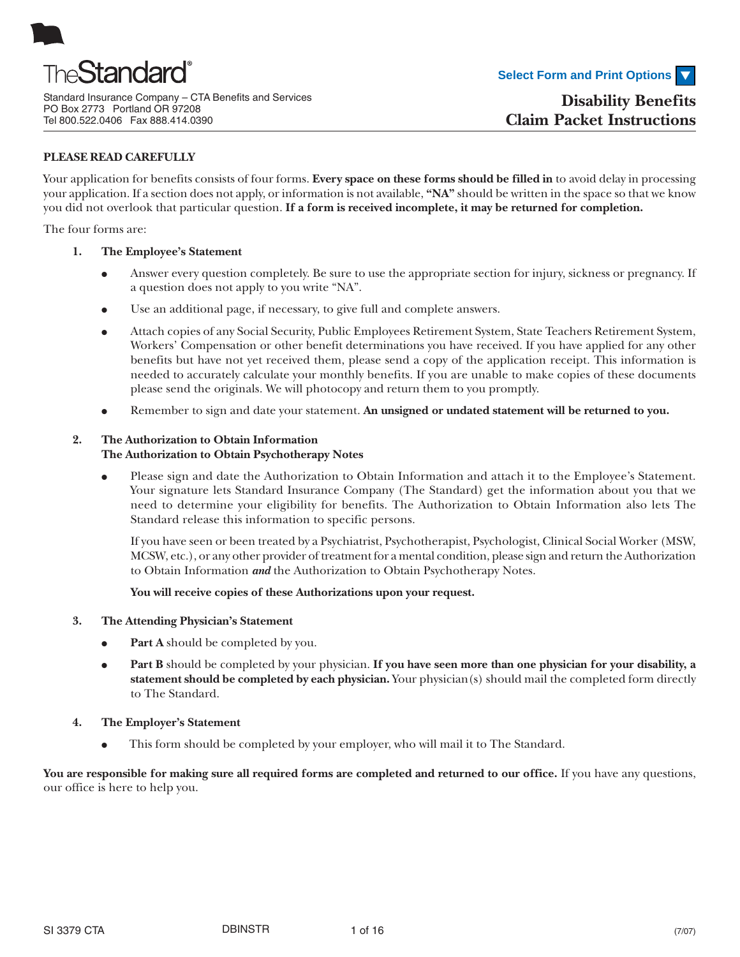

Standard Insurance Company – CTA Benefits and Services PO Box 2773 Portland OR 97208 Tel 800.522.0406 Fax 888.414.0390

### **PLEASE READ CAREFULLY**

Your application for benefits consists of four forms. **Every space on these forms should be filled in** to avoid delay in processing your application. If a section does not apply, or information is not available, **"NA"** should be written in the space so that we know you did not overlook that particular question. **If a form is received incomplete, it may be returned for completion.**

The four forms are:

- **1. The Employee's Statement**
	- Answer every question completely. Be sure to use the appropriate section for injury, sickness or pregnancy. If a question does not apply to you write "NA".
	- Use an additional page, if necessary, to give full and complete answers.
	- Attach copies of any Social Security, Public Employees Retirement System, State Teachers Retirement System, Workers' Compensation or other benefit determinations you have received. If you have applied for any other benefits but have not yet received them, please send a copy of the application receipt. This information is needed to accurately calculate your monthly benefits. If you are unable to make copies of these documents please send the originals. We will photocopy and return them to you promptly.
	- Remember to sign and date your statement. An unsigned or undated statement will be returned to you.

### **2. The Authorization to Obtain Information**

### **The Authorization to Obtain Psychotherapy Notes**

● Please sign and date the Authorization to Obtain Information and attach it to the Employee's Statement. Your signature lets Standard Insurance Company (The Standard) get the information about you that we need to determine your eligibility for benefits. The Authorization to Obtain Information also lets The Standard release this information to specific persons.

If you have seen or been treated by a Psychiatrist, Psychotherapist, Psychologist, Clinical Social Worker (MSW, MCSW, etc.), or any other provider of treatment for a mental condition, please sign and return the Authorization to Obtain Information *and* the Authorization to Obtain Psychotherapy Notes.

**You will receive copies of these Authorizations upon your request.**

### **3. The Attending Physician's Statement**

- **Part A** should be completed by you.
- **Part B** should be completed by your physician. If you have seen more than one physician for your disability, a **statement should be completed by each physician.** Your physician(s) should mail the completed form directly to The Standard.

### **4. The Employer's Statement**

• This form should be completed by your employer, who will mail it to The Standard.

You are responsible for making sure all required forms are completed and returned to our office. If you have any questions, our office is here to help you.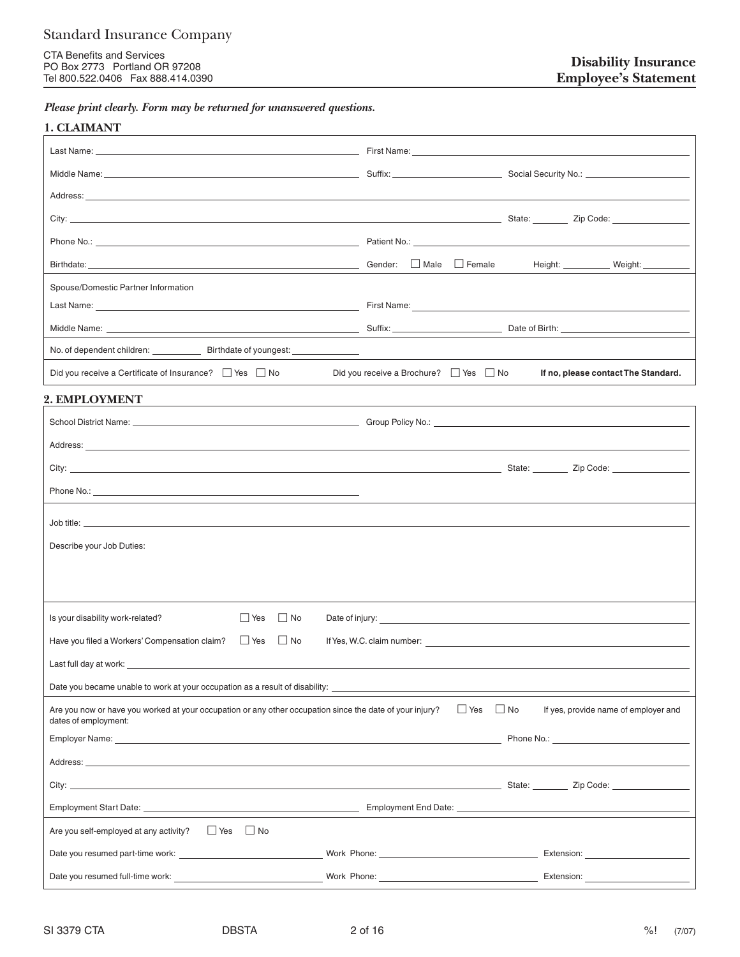CTA Benefits and Services PO Box 2773 Portland OR 97208 Tel 800.522.0406 Fax 888.414.0390

*Please print clearly. Form may be returned for unanswered questions.*

### **1. CLAIMANT**

|                                                                                                                                                                                                                                | Birthdate: Male Discount of Height: Male Discount of Height: Male Height: Male Height: Weight: Weight:                                                                                                                         |
|--------------------------------------------------------------------------------------------------------------------------------------------------------------------------------------------------------------------------------|--------------------------------------------------------------------------------------------------------------------------------------------------------------------------------------------------------------------------------|
| Spouse/Domestic Partner Information                                                                                                                                                                                            |                                                                                                                                                                                                                                |
|                                                                                                                                                                                                                                |                                                                                                                                                                                                                                |
|                                                                                                                                                                                                                                |                                                                                                                                                                                                                                |
|                                                                                                                                                                                                                                | <u> 1989 - Andrea Aontaithe ann an t-</u>                                                                                                                                                                                      |
| Did you receive a Certificate of Insurance? $\Box$ Yes $\Box$ No                                                                                                                                                               | Did you receive a Brochure? $\Box$ Yes $\Box$ No<br>If no, please contact The Standard.                                                                                                                                        |
| 2. EMPLOYMENT                                                                                                                                                                                                                  |                                                                                                                                                                                                                                |
|                                                                                                                                                                                                                                |                                                                                                                                                                                                                                |
| Address: the contract of the contract of the contract of the contract of the contract of the contract of the contract of the contract of the contract of the contract of the contract of the contract of the contract of the c |                                                                                                                                                                                                                                |
|                                                                                                                                                                                                                                |                                                                                                                                                                                                                                |
|                                                                                                                                                                                                                                |                                                                                                                                                                                                                                |
|                                                                                                                                                                                                                                |                                                                                                                                                                                                                                |
| Describe your Job Duties:                                                                                                                                                                                                      |                                                                                                                                                                                                                                |
|                                                                                                                                                                                                                                |                                                                                                                                                                                                                                |
|                                                                                                                                                                                                                                |                                                                                                                                                                                                                                |
|                                                                                                                                                                                                                                |                                                                                                                                                                                                                                |
| $\Box$ No<br>Is your disability work-related?<br>$\Box$ Yes                                                                                                                                                                    |                                                                                                                                                                                                                                |
| $\Box$ Yes $\Box$ No<br>Have you filed a Workers' Compensation claim?                                                                                                                                                          |                                                                                                                                                                                                                                |
| Last full day at work: Last full day at work:                                                                                                                                                                                  |                                                                                                                                                                                                                                |
| Date you became unable to work at your occupation as a result of disability: ______________________                                                                                                                            |                                                                                                                                                                                                                                |
| Are you now or have you worked at your occupation or any other occupation since the date of your injury?<br>dates of employment:                                                                                               | $\Box$ Yes $\Box$ No<br>If yes, provide name of employer and                                                                                                                                                                   |
|                                                                                                                                                                                                                                | Phone No.: The contract of the contract of the contract of the contract of the contract of the contract of the contract of the contract of the contract of the contract of the contract of the contract of the contract of the |
|                                                                                                                                                                                                                                |                                                                                                                                                                                                                                |
|                                                                                                                                                                                                                                |                                                                                                                                                                                                                                |
|                                                                                                                                                                                                                                |                                                                                                                                                                                                                                |
| Are you self-employed at any activity? □ Yes □ No                                                                                                                                                                              |                                                                                                                                                                                                                                |
|                                                                                                                                                                                                                                | Work Phone: New York Discovery 2012 19:00 North Phone: New York Discovery 2013                                                                                                                                                 |
|                                                                                                                                                                                                                                |                                                                                                                                                                                                                                |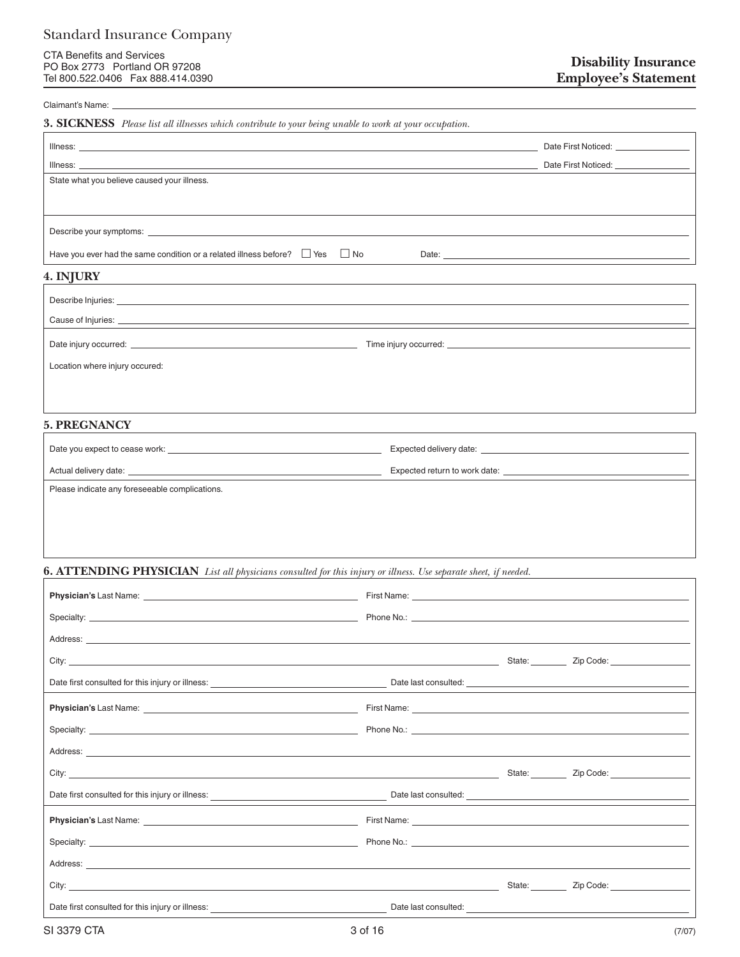CTA Benefits and Services PO Box 2773 Portland OR 97208 Tel 800.522.0406 Fax 888.414.0390

#### Claimant's Name:

**3. SICKNESS** *Please list all illnesses which contribute to your being unable to work at your occupation.*

| Illness:<br><u> 1989 - Johann Stoff, amerikansk politiker (d. 1989)</u>                                                                                                                                                        |                                                                                                                                                                                                                                | Date First Noticed: ________________ |
|--------------------------------------------------------------------------------------------------------------------------------------------------------------------------------------------------------------------------------|--------------------------------------------------------------------------------------------------------------------------------------------------------------------------------------------------------------------------------|--------------------------------------|
| Illness:                                                                                                                                                                                                                       |                                                                                                                                                                                                                                |                                      |
| State what you believe caused your illness.                                                                                                                                                                                    |                                                                                                                                                                                                                                |                                      |
|                                                                                                                                                                                                                                |                                                                                                                                                                                                                                |                                      |
|                                                                                                                                                                                                                                |                                                                                                                                                                                                                                |                                      |
| Have you ever had the same condition or a related illness before? $\Box$ Yes $\Box$ No                                                                                                                                         |                                                                                                                                                                                                                                |                                      |
| 4. INJURY                                                                                                                                                                                                                      |                                                                                                                                                                                                                                |                                      |
| and the control of the control of the control of the control of the control of the control of the control of the                                                                                                               |                                                                                                                                                                                                                                |                                      |
|                                                                                                                                                                                                                                |                                                                                                                                                                                                                                |                                      |
|                                                                                                                                                                                                                                |                                                                                                                                                                                                                                |                                      |
|                                                                                                                                                                                                                                |                                                                                                                                                                                                                                |                                      |
| Location where injury occured:                                                                                                                                                                                                 |                                                                                                                                                                                                                                |                                      |
|                                                                                                                                                                                                                                |                                                                                                                                                                                                                                |                                      |
|                                                                                                                                                                                                                                |                                                                                                                                                                                                                                |                                      |
| <b>5. PREGNANCY</b>                                                                                                                                                                                                            |                                                                                                                                                                                                                                |                                      |
|                                                                                                                                                                                                                                |                                                                                                                                                                                                                                |                                      |
|                                                                                                                                                                                                                                |                                                                                                                                                                                                                                |                                      |
|                                                                                                                                                                                                                                |                                                                                                                                                                                                                                |                                      |
| Please indicate any foreseeable complications.                                                                                                                                                                                 |                                                                                                                                                                                                                                |                                      |
|                                                                                                                                                                                                                                |                                                                                                                                                                                                                                |                                      |
|                                                                                                                                                                                                                                |                                                                                                                                                                                                                                |                                      |
|                                                                                                                                                                                                                                |                                                                                                                                                                                                                                |                                      |
|                                                                                                                                                                                                                                |                                                                                                                                                                                                                                |                                      |
| <b>6. ATTENDING PHYSICIAN</b> List all physicians consulted for this injury or illness. Use separate sheet, if needed.                                                                                                         |                                                                                                                                                                                                                                |                                      |
|                                                                                                                                                                                                                                |                                                                                                                                                                                                                                |                                      |
|                                                                                                                                                                                                                                |                                                                                                                                                                                                                                |                                      |
| Address: Address: Address: Address: Address: Address: Address: Address: Address: Address: Address: Address: Address: Address: Address: Address: Address: Address: Address: Address: Address: Address: Address: Address: Addres |                                                                                                                                                                                                                                |                                      |
|                                                                                                                                                                                                                                |                                                                                                                                                                                                                                |                                      |
| Date first consulted for this injury or illness:                                                                                                                                                                               | Date last consulted:                                                                                                                                                                                                           |                                      |
|                                                                                                                                                                                                                                |                                                                                                                                                                                                                                |                                      |
| Specialty: Specialty: Specialty: Specialty: Specialty: Specialty: Specialty: Specialty: Specialty: Specialty: Specialty: Specialty: Specialty: Specialty: Specialty: Specialty: Specialty: Specialty: Specialty: Specialty: Sp | Phone No.: The contract of the contract of the contract of the contract of the contract of the contract of the contract of the contract of the contract of the contract of the contract of the contract of the contract of the |                                      |
|                                                                                                                                                                                                                                |                                                                                                                                                                                                                                |                                      |
|                                                                                                                                                                                                                                |                                                                                                                                                                                                                                |                                      |
|                                                                                                                                                                                                                                |                                                                                                                                                                                                                                |                                      |
|                                                                                                                                                                                                                                |                                                                                                                                                                                                                                |                                      |
|                                                                                                                                                                                                                                |                                                                                                                                                                                                                                |                                      |
|                                                                                                                                                                                                                                |                                                                                                                                                                                                                                |                                      |
|                                                                                                                                                                                                                                |                                                                                                                                                                                                                                |                                      |
|                                                                                                                                                                                                                                |                                                                                                                                                                                                                                |                                      |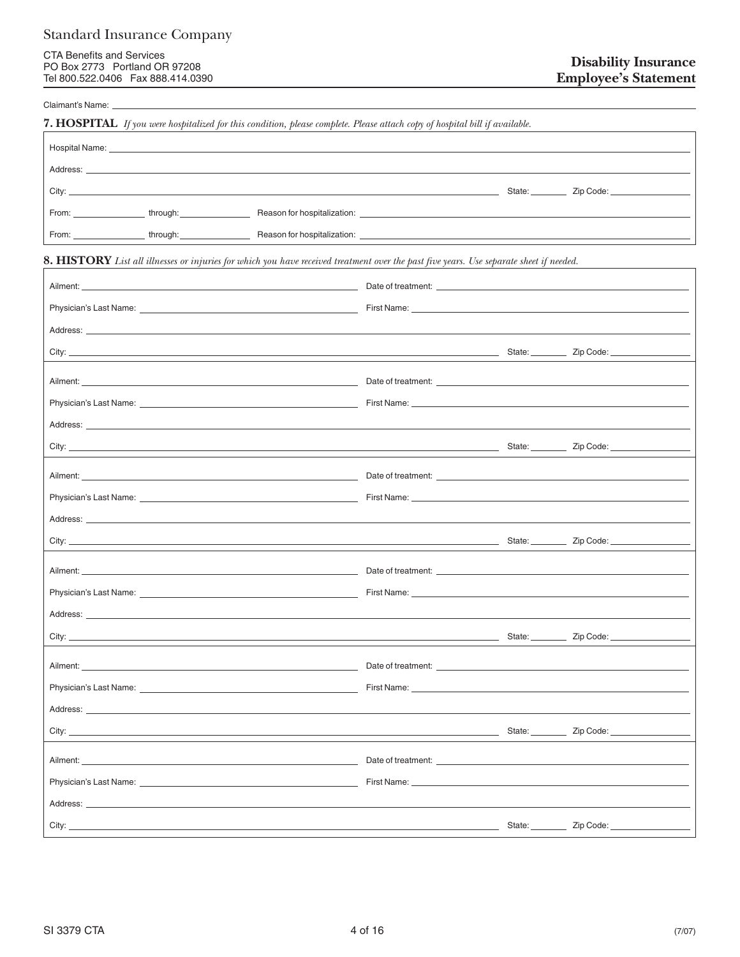Claimant's Name:

|                                                                                                                                                                                                                                      | <b>7. HOSPITAL</b> If you were hospitalized for this condition, please complete. Please attach copy of hospital bill if available.                                                                                                      |                    |                                                                                                               |
|--------------------------------------------------------------------------------------------------------------------------------------------------------------------------------------------------------------------------------------|-----------------------------------------------------------------------------------------------------------------------------------------------------------------------------------------------------------------------------------------|--------------------|---------------------------------------------------------------------------------------------------------------|
| Hospital Name: <u>contract and the contract of the contract of the contract of the contract of the contract of the contract of the contract of the contract of the contract of the contract of the contract of the contract of t</u> |                                                                                                                                                                                                                                         |                    |                                                                                                               |
|                                                                                                                                                                                                                                      | Address: North Address: Address and Address and Address and Address and Address and Address and Address and Address and Address and Address and Address and Address and Address and Address and Address and Address and Addres          |                    |                                                                                                               |
|                                                                                                                                                                                                                                      |                                                                                                                                                                                                                                         |                    |                                                                                                               |
|                                                                                                                                                                                                                                      |                                                                                                                                                                                                                                         |                    |                                                                                                               |
|                                                                                                                                                                                                                                      |                                                                                                                                                                                                                                         |                    |                                                                                                               |
|                                                                                                                                                                                                                                      | <b>8. HISTORY</b> List all illnesses or injuries for which you have received treatment over the past five years. Use separate sheet if needed.                                                                                          |                    |                                                                                                               |
|                                                                                                                                                                                                                                      |                                                                                                                                                                                                                                         |                    |                                                                                                               |
|                                                                                                                                                                                                                                      |                                                                                                                                                                                                                                         |                    |                                                                                                               |
|                                                                                                                                                                                                                                      |                                                                                                                                                                                                                                         |                    |                                                                                                               |
|                                                                                                                                                                                                                                      | City: <u>City: Zip Code:</u> City: <u>City: Zip Code:</u> City: City: City: City: City: City: City: City: City: City: City: City: City: City: City: City: City: City: City: City: City: City: City: City: City: City: City: City: City: |                    |                                                                                                               |
|                                                                                                                                                                                                                                      |                                                                                                                                                                                                                                         |                    |                                                                                                               |
|                                                                                                                                                                                                                                      |                                                                                                                                                                                                                                         |                    |                                                                                                               |
|                                                                                                                                                                                                                                      |                                                                                                                                                                                                                                         |                    |                                                                                                               |
|                                                                                                                                                                                                                                      |                                                                                                                                                                                                                                         |                    |                                                                                                               |
|                                                                                                                                                                                                                                      |                                                                                                                                                                                                                                         |                    |                                                                                                               |
|                                                                                                                                                                                                                                      |                                                                                                                                                                                                                                         |                    |                                                                                                               |
|                                                                                                                                                                                                                                      |                                                                                                                                                                                                                                         |                    |                                                                                                               |
|                                                                                                                                                                                                                                      |                                                                                                                                                                                                                                         |                    |                                                                                                               |
|                                                                                                                                                                                                                                      |                                                                                                                                                                                                                                         |                    |                                                                                                               |
|                                                                                                                                                                                                                                      |                                                                                                                                                                                                                                         |                    |                                                                                                               |
|                                                                                                                                                                                                                                      | Address: <u>Address:</u> Address: Address: Address: Address: Address: Address: Address: Address: Address: Address: Address: Address: Address: Address: Address: Address: Address: Address: Address: Address: Address: Address: Addr     |                    |                                                                                                               |
|                                                                                                                                                                                                                                      |                                                                                                                                                                                                                                         |                    |                                                                                                               |
| Ailment:                                                                                                                                                                                                                             |                                                                                                                                                                                                                                         | Date of treatment: |                                                                                                               |
|                                                                                                                                                                                                                                      | Physician's Last Name: <u>contract the contract of the contract of the contract of the contract of the contract of</u>                                                                                                                  |                    | First Name: North American Commission of the Commission of the Commission of the Commission of the Commission |
|                                                                                                                                                                                                                                      |                                                                                                                                                                                                                                         |                    |                                                                                                               |
|                                                                                                                                                                                                                                      |                                                                                                                                                                                                                                         |                    |                                                                                                               |
|                                                                                                                                                                                                                                      |                                                                                                                                                                                                                                         |                    |                                                                                                               |
|                                                                                                                                                                                                                                      | Physician's Last Name: The contract of the contract of the contract of the contract of the contract of the contract of the contract of the contract of the contract of the contract of the contract of the contract of the con          |                    | First Name: North American Commission of the Commission of the Commission of the Commission of the Commission |
|                                                                                                                                                                                                                                      | Address: the contract of the contract of the contract of the contract of the contract of the contract of the contract of the contract of the contract of the contract of the contract of the contract of the contract of the c          |                    |                                                                                                               |
|                                                                                                                                                                                                                                      |                                                                                                                                                                                                                                         |                    | State: <u>Zip Code:</u>                                                                                       |
|                                                                                                                                                                                                                                      |                                                                                                                                                                                                                                         |                    |                                                                                                               |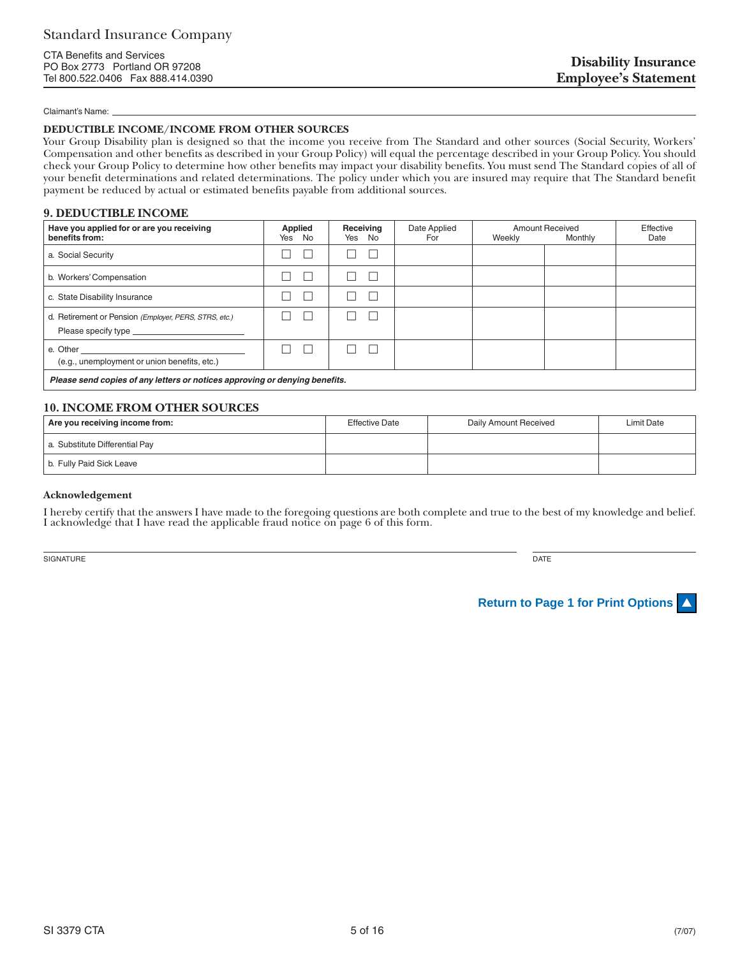#### Claimant's Name:

#### **DEDUCTIBLE INCOME/INCOME FROM OTHER SOURCES**

Your Group Disability plan is designed so that the income you receive from The Standard and other sources (Social Security, Workers' Compensation and other benefits as described in your Group Policy) will equal the percentage described in your Group Policy. You should check your Group Policy to determine how other benefits may impact your disability benefits. You must send The Standard copies of all of your benefit determinations and related determinations. The policy under which you are insured may require that The Standard benefit payment be reduced by actual or estimated benefits payable from additional sources.

#### **9. DEDUCTIBLE INCOME**

| Have you applied for or are you receiving<br>benefits from:                                                                                                                       | <b>Applied</b><br>Yes No | Receiving<br>Yes No | Date Applied<br>For | Weekly | <b>Amount Received</b><br>Monthly | Effective<br>Date |
|-----------------------------------------------------------------------------------------------------------------------------------------------------------------------------------|--------------------------|---------------------|---------------------|--------|-----------------------------------|-------------------|
| a. Social Security                                                                                                                                                                |                          |                     |                     |        |                                   |                   |
| b. Workers' Compensation                                                                                                                                                          |                          |                     |                     |        |                                   |                   |
| c. State Disability Insurance                                                                                                                                                     |                          |                     |                     |        |                                   |                   |
| d. Retirement or Pension (Employer, PERS, STRS, etc.)                                                                                                                             |                          |                     |                     |        |                                   |                   |
| e. Other<br><u> 1989 - Johann Harry Harry Harry Harry Harry Harry Harry Harry Harry Harry Harry Harry Harry Harry Harry Harry</u><br>(e.g., unemployment or union benefits, etc.) | L                        |                     |                     |        |                                   |                   |
| Please send copies of any letters or notices approving or denying benefits.                                                                                                       |                          |                     |                     |        |                                   |                   |

### **10. INCOME FROM OTHER SOURCES**

| Are you receiving income from: | <b>Effective Date</b> | Daily Amount Received | Limit Date |
|--------------------------------|-----------------------|-----------------------|------------|
| a. Substitute Differential Pay |                       |                       |            |
| b. Fully Paid Sick Leave       |                       |                       |            |

#### **Acknowledgement**

I hereby certify that the answers I have made to the foregoing questions are both complete and true to the best of my knowledge and belief. I acknowledge that I have read the applicable fraud notice on page 6 of this form.

SIGNATURE DATE DESCRIPTION OF SERVICES AND LOCAL CONTRACTOR OF SERVICES AND DRIVE DATE DATE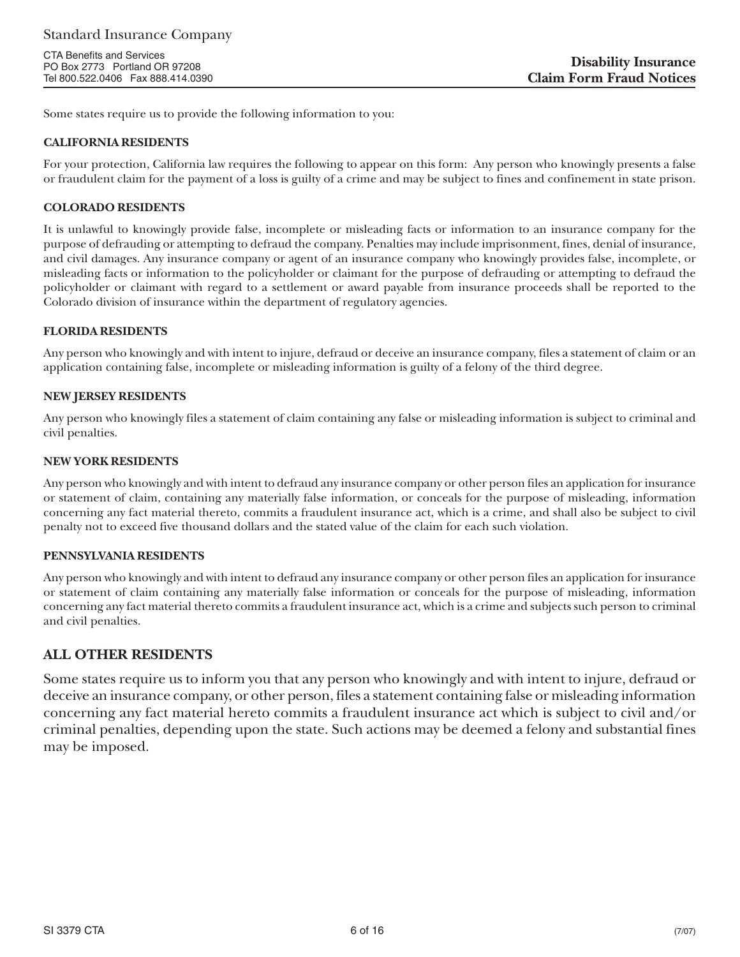Some states require us to provide the following information to you:

### **CALIFORNIA RESIDENTS**

For your protection, California law requires the following to appear on this form: Any person who knowingly presents a false or fraudulent claim for the payment of a loss is guilty of a crime and may be subject to fines and confinement in state prison.

### **COLORADO RESIDENTS**

It is unlawful to knowingly provide false, incomplete or misleading facts or information to an insurance company for the purpose of defrauding or attempting to defraud the company. Penalties may include imprisonment, fines, denial of insurance, and civil damages. Any insurance company or agent of an insurance company who knowingly provides false, incomplete, or misleading facts or information to the policyholder or claimant for the purpose of defrauding or attempting to defraud the policyholder or claimant with regard to a settlement or award payable from insurance proceeds shall be reported to the Colorado division of insurance within the department of regulatory agencies.

### **FLORIDA RESIDENTS**

Any person who knowingly and with intent to injure, defraud or deceive an insurance company, files a statement of claim or an application containing false, incomplete or misleading information is guilty of a felony of the third degree.

### **NEW JERSEY RESIDENTS**

Any person who knowingly files a statement of claim containing any false or misleading information is subject to criminal and civil penalties.

### **NEW YORK RESIDENTS**

Any person who knowingly and with intent to defraud any insurance company or other person files an application for insurance or statement of claim, containing any materially false information, or conceals for the purpose of misleading, information concerning any fact material thereto, commits a fraudulent insurance act, which is a crime, and shall also be subject to civil penalty not to exceed five thousand dollars and the stated value of the claim for each such violation.

### **PENNSYLVANIA RESIDENTS**

Any person who knowingly and with intent to defraud any insurance company or other person files an application for insurance or statement of claim containing any materially false information or conceals for the purpose of misleading, information concerning any fact material thereto commits a fraudulent insurance act, which is a crime and subjects such person to criminal and civil penalties.

### **ALL OTHER RESIDENTS**

Some states require us to inform you that any person who knowingly and with intent to injure, defraud or deceive an insurance company, or other person, files a statement containing false or misleading information concerning any fact material hereto commits a fraudulent insurance act which is subject to civil and/or criminal penalties, depending upon the state. Such actions may be deemed a felony and substantial fines may be imposed.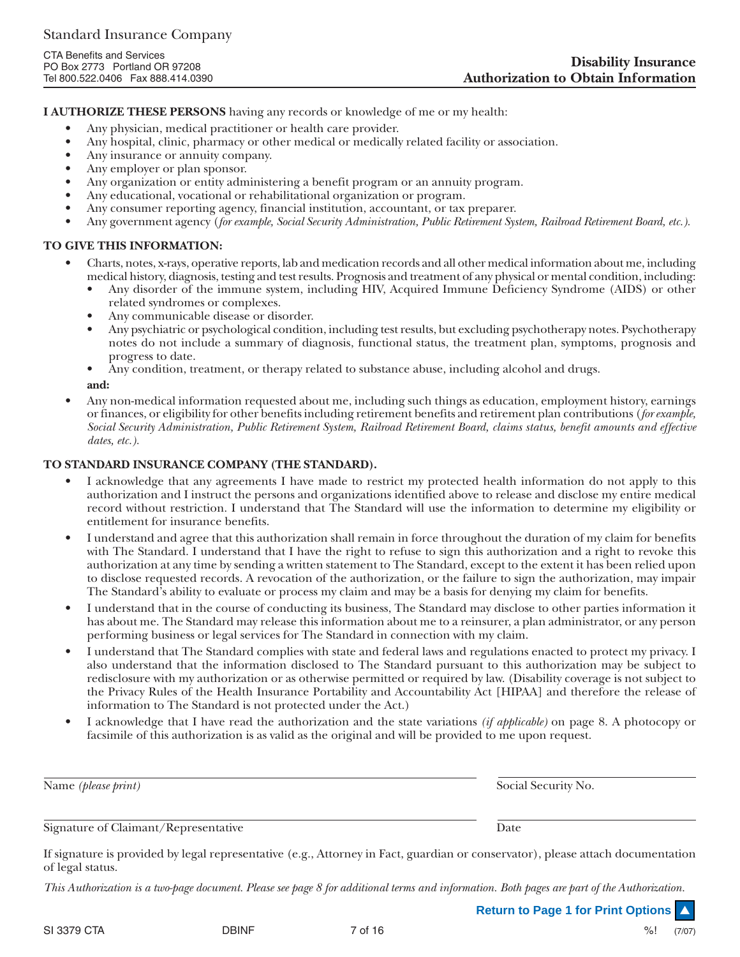**I AUTHORIZE THESE PERSONS** having any records or knowledge of me or my health:

- Any physician, medical practitioner or health care provider.
- Any hospital, clinic, pharmacy or other medical or medically related facility or association.
- Any insurance or annuity company.
- Any employer or plan sponsor.
- Any organization or entity administering a benefit program or an annuity program.
- Any educational, vocational or rehabilitational organization or program.
- Any consumer reporting agency, financial institution, accountant, or tax preparer.
- Any government agency (*for example, Social Security Administration, Public Retirement System, Railroad Retirement Board, etc.).*

### **TO GIVE THIS INFORMATION:**

- Charts, notes, x-rays, operative reports, lab and medication records and all other medical information about me, including medical history, diagnosis, testing and test results. Prognosis and treatment of any physical or mental condition, including:
	- Any disorder of the immune system, including HIV, Acquired Immune Deficiency Syndrome (AIDS) or other related syndromes or complexes.
	- Any communicable disease or disorder.
	- Any psychiatric or psychological condition, including test results, but excluding psychotherapy notes. Psychotherapy notes do not include a summary of diagnosis, functional status, the treatment plan, symptoms, prognosis and progress to date.
	- Any condition, treatment, or therapy related to substance abuse, including alcohol and drugs. **and:**
- Any non-medical information requested about me, including such things as education, employment history, earnings or finances, or eligibility for other benefits including retirement benefits and retirement plan contributions (*for example, Social Security Administration, Public Retirement System, Railroad Retirement Board, claims status, benefit amounts and effective dates, etc.).*

### **TO STANDARD INSURANCE COMPANY (THE STANDARD).**

- I acknowledge that any agreements I have made to restrict my protected health information do not apply to this authorization and I instruct the persons and organizations identified above to release and disclose my entire medical record without restriction. I understand that The Standard will use the information to determine my eligibility or entitlement for insurance benefits.
- I understand and agree that this authorization shall remain in force throughout the duration of my claim for benefits with The Standard. I understand that I have the right to refuse to sign this authorization and a right to revoke this authorization at any time by sending a written statement to The Standard, except to the extent it has been relied upon to disclose requested records. A revocation of the authorization, or the failure to sign the authorization, may impair The Standard's ability to evaluate or process my claim and may be a basis for denying my claim for benefits.
- I understand that in the course of conducting its business, The Standard may disclose to other parties information it has about me. The Standard may release this information about me to a reinsurer, a plan administrator, or any person performing business or legal services for The Standard in connection with my claim.
- I understand that The Standard complies with state and federal laws and regulations enacted to protect my privacy. I also understand that the information disclosed to The Standard pursuant to this authorization may be subject to redisclosure with my authorization or as otherwise permitted or required by law. (Disability coverage is not subject to the Privacy Rules of the Health Insurance Portability and Accountability Act [HIPAA] and therefore the release of information to The Standard is not protected under the Act.)
- I acknowledge that I have read the authorization and the state variations *(if applicable)* on page 8. A photocopy or facsimile of this authorization is as valid as the original and will be provided to me upon request.

| Name (please print)                  | Social Security No. |
|--------------------------------------|---------------------|
| Signature of Claimant/Representative | Date                |

If signature is provided by legal representative (e.g., Attorney in Fact, guardian or conservator), please attach documentation of legal status.

*This Authorization is a two-page document. Please see page 8 for additional terms and information. Both pages are part of the Authorization.*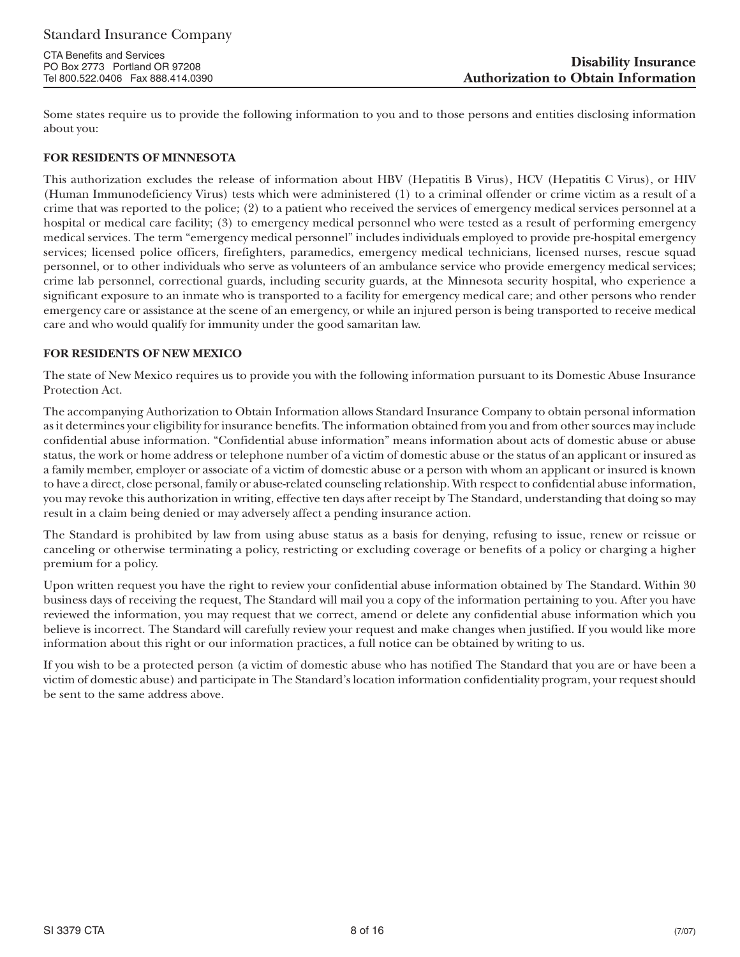Some states require us to provide the following information to you and to those persons and entities disclosing information about you:

### **FOR RESIDENTS OF MINNESOTA**

This authorization excludes the release of information about HBV (Hepatitis B Virus), HCV (Hepatitis C Virus), or HIV (Human Immunodeficiency Virus) tests which were administered (1) to a criminal offender or crime victim as a result of a crime that was reported to the police; (2) to a patient who received the services of emergency medical services personnel at a hospital or medical care facility; (3) to emergency medical personnel who were tested as a result of performing emergency medical services. The term "emergency medical personnel" includes individuals employed to provide pre-hospital emergency services; licensed police officers, firefighters, paramedics, emergency medical technicians, licensed nurses, rescue squad personnel, or to other individuals who serve as volunteers of an ambulance service who provide emergency medical services; crime lab personnel, correctional guards, including security guards, at the Minnesota security hospital, who experience a significant exposure to an inmate who is transported to a facility for emergency medical care; and other persons who render emergency care or assistance at the scene of an emergency, or while an injured person is being transported to receive medical care and who would qualify for immunity under the good samaritan law.

### **FOR RESIDENTS OF NEW MEXICO**

The state of New Mexico requires us to provide you with the following information pursuant to its Domestic Abuse Insurance Protection Act.

The accompanying Authorization to Obtain Information allows Standard Insurance Company to obtain personal information as it determines your eligibility for insurance benefits. The information obtained from you and from other sources may include confidential abuse information. "Confidential abuse information" means information about acts of domestic abuse or abuse status, the work or home address or telephone number of a victim of domestic abuse or the status of an applicant or insured as a family member, employer or associate of a victim of domestic abuse or a person with whom an applicant or insured is known to have a direct, close personal, family or abuse-related counseling relationship. With respect to confidential abuse information, you may revoke this authorization in writing, effective ten days after receipt by The Standard, understanding that doing so may result in a claim being denied or may adversely affect a pending insurance action.

The Standard is prohibited by law from using abuse status as a basis for denying, refusing to issue, renew or reissue or canceling or otherwise terminating a policy, restricting or excluding coverage or benefits of a policy or charging a higher premium for a policy.

Upon written request you have the right to review your confidential abuse information obtained by The Standard. Within 30 business days of receiving the request, The Standard will mail you a copy of the information pertaining to you. After you have reviewed the information, you may request that we correct, amend or delete any confidential abuse information which you believe is incorrect. The Standard will carefully review your request and make changes when justified. If you would like more information about this right or our information practices, a full notice can be obtained by writing to us.

If you wish to be a protected person (a victim of domestic abuse who has notified The Standard that you are or have been a victim of domestic abuse) and participate in The Standard's location information confidentiality program, your request should be sent to the same address above.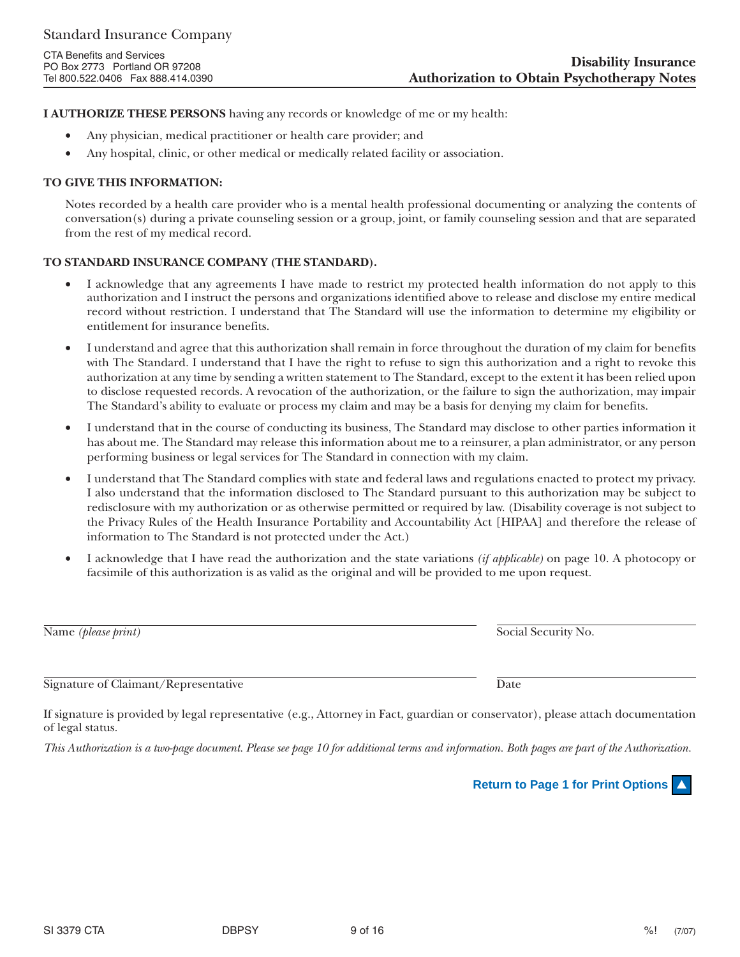**I AUTHORIZE THESE PERSONS** having any records or knowledge of me or my health:

- Any physician, medical practitioner or health care provider; and
- Any hospital, clinic, or other medical or medically related facility or association.

# **TO GIVE THIS INFORMATION:**

Notes recorded by a health care provider who is a mental health professional documenting or analyzing the contents of conversation(s) during a private counseling session or a group, joint, or family counseling session and that are separated from the rest of my medical record.

# **TO STANDARD INSURANCE COMPANY (THE STANDARD).**

- I acknowledge that any agreements I have made to restrict my protected health information do not apply to this authorization and I instruct the persons and organizations identified above to release and disclose my entire medical record without restriction. I understand that The Standard will use the information to determine my eligibility or entitlement for insurance benefits.
- I understand and agree that this authorization shall remain in force throughout the duration of my claim for benefits with The Standard. I understand that I have the right to refuse to sign this authorization and a right to revoke this authorization at any time by sending a written statement to The Standard, except to the extent it has been relied upon to disclose requested records. A revocation of the authorization, or the failure to sign the authorization, may impair The Standard's ability to evaluate or process my claim and may be a basis for denying my claim for benefits.
- I understand that in the course of conducting its business, The Standard may disclose to other parties information it has about me. The Standard may release this information about me to a reinsurer, a plan administrator, or any person performing business or legal services for The Standard in connection with my claim.
- I understand that The Standard complies with state and federal laws and regulations enacted to protect my privacy. I also understand that the information disclosed to The Standard pursuant to this authorization may be subject to redisclosure with my authorization or as otherwise permitted or required by law. (Disability coverage is not subject to the Privacy Rules of the Health Insurance Portability and Accountability Act [HIPAA] and therefore the release of information to The Standard is not protected under the Act.)
- I acknowledge that I have read the authorization and the state variations *(if applicable)* on page 10. A photocopy or facsimile of this authorization is as valid as the original and will be provided to me upon request.

Name *(please print)* Social Security No.

Signature of Claimant/Representative Date

If signature is provided by legal representative (e.g., Attorney in Fact, guardian or conservator), please attach documentation of legal status.

*This Authorization is a two-page document. Please see page 10 for additional terms and information. Both pages are part of the Authorization.*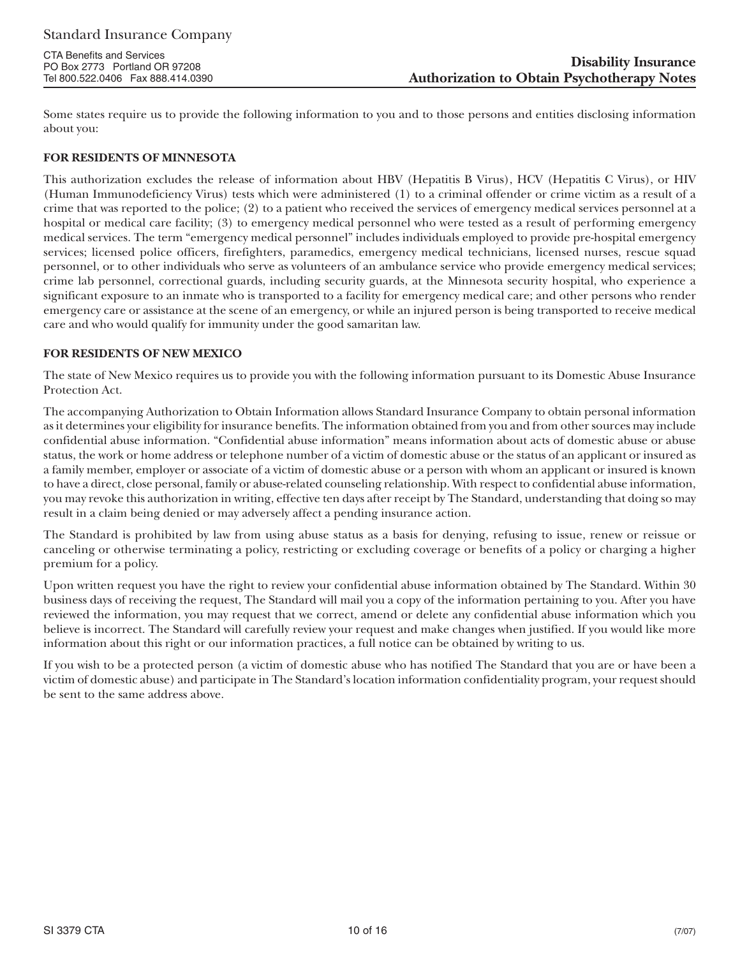Some states require us to provide the following information to you and to those persons and entities disclosing information about you:

### **FOR RESIDENTS OF MINNESOTA**

This authorization excludes the release of information about HBV (Hepatitis B Virus), HCV (Hepatitis C Virus), or HIV (Human Immunodeficiency Virus) tests which were administered (1) to a criminal offender or crime victim as a result of a crime that was reported to the police; (2) to a patient who received the services of emergency medical services personnel at a hospital or medical care facility; (3) to emergency medical personnel who were tested as a result of performing emergency medical services. The term "emergency medical personnel" includes individuals employed to provide pre-hospital emergency services; licensed police officers, firefighters, paramedics, emergency medical technicians, licensed nurses, rescue squad personnel, or to other individuals who serve as volunteers of an ambulance service who provide emergency medical services; crime lab personnel, correctional guards, including security guards, at the Minnesota security hospital, who experience a significant exposure to an inmate who is transported to a facility for emergency medical care; and other persons who render emergency care or assistance at the scene of an emergency, or while an injured person is being transported to receive medical care and who would qualify for immunity under the good samaritan law.

### **FOR RESIDENTS OF NEW MEXICO**

The state of New Mexico requires us to provide you with the following information pursuant to its Domestic Abuse Insurance Protection Act.

The accompanying Authorization to Obtain Information allows Standard Insurance Company to obtain personal information as it determines your eligibility for insurance benefits. The information obtained from you and from other sources may include confidential abuse information. "Confidential abuse information" means information about acts of domestic abuse or abuse status, the work or home address or telephone number of a victim of domestic abuse or the status of an applicant or insured as a family member, employer or associate of a victim of domestic abuse or a person with whom an applicant or insured is known to have a direct, close personal, family or abuse-related counseling relationship. With respect to confidential abuse information, you may revoke this authorization in writing, effective ten days after receipt by The Standard, understanding that doing so may result in a claim being denied or may adversely affect a pending insurance action.

The Standard is prohibited by law from using abuse status as a basis for denying, refusing to issue, renew or reissue or canceling or otherwise terminating a policy, restricting or excluding coverage or benefits of a policy or charging a higher premium for a policy.

Upon written request you have the right to review your confidential abuse information obtained by The Standard. Within 30 business days of receiving the request, The Standard will mail you a copy of the information pertaining to you. After you have reviewed the information, you may request that we correct, amend or delete any confidential abuse information which you believe is incorrect. The Standard will carefully review your request and make changes when justified. If you would like more information about this right or our information practices, a full notice can be obtained by writing to us.

If you wish to be a protected person (a victim of domestic abuse who has notified The Standard that you are or have been a victim of domestic abuse) and participate in The Standard's location information confidentiality program, your request should be sent to the same address above.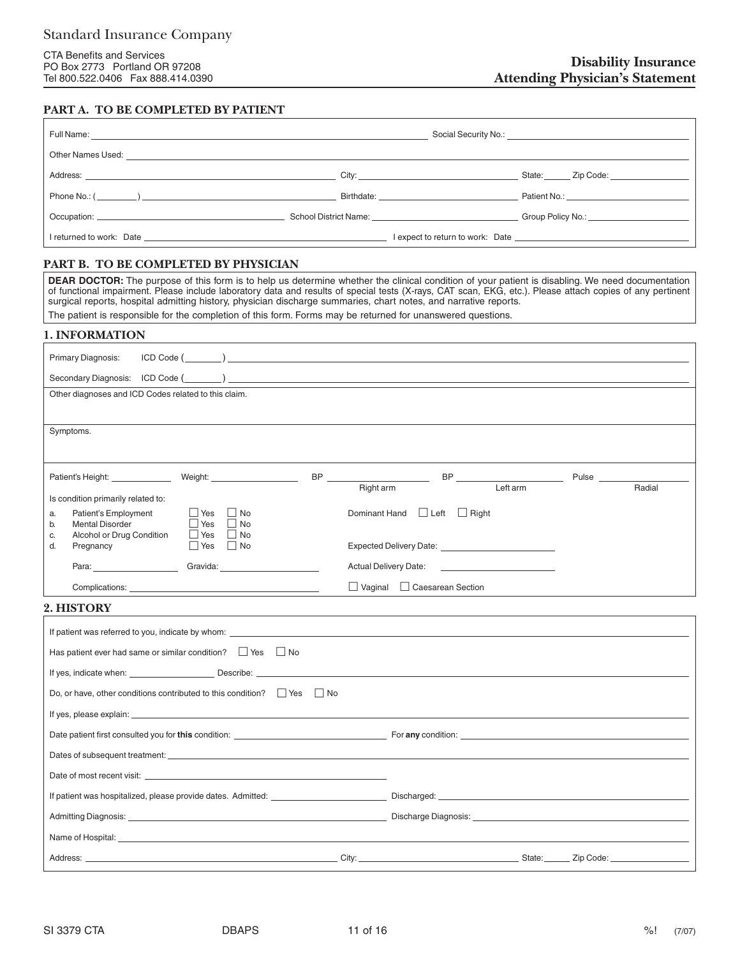# **PART A. TO BE COMPLETED BY PATIENT**

|             | Full Name: <u>Contract Communications and Communications and Communications and Communications and Communications and Communications and Communications and Communications and Communications and Communications and Communicati</u> |                                                                                                                                                                                                                                |
|-------------|--------------------------------------------------------------------------------------------------------------------------------------------------------------------------------------------------------------------------------------|--------------------------------------------------------------------------------------------------------------------------------------------------------------------------------------------------------------------------------|
|             |                                                                                                                                                                                                                                      |                                                                                                                                                                                                                                |
|             |                                                                                                                                                                                                                                      |                                                                                                                                                                                                                                |
| Phone No.:( |                                                                                                                                                                                                                                      | Patient No.: <b>Example 20</b>                                                                                                                                                                                                 |
|             |                                                                                                                                                                                                                                      | Occupation: Comparison Control of Comparison Control of Comparison Comparison Comparison Comparison Comparison Comparison Comparison Comparison Comparison Comparison Comparison Comparison Comparison Comparison Comparison C |
|             |                                                                                                                                                                                                                                      |                                                                                                                                                                                                                                |

### **PART B. TO BE COMPLETED BY PHYSICIAN**

**DEAR DOCTOR:** The purpose of this form is to help us determine whether the clinical condition of your patient is disabling. We need documentation of functional impairment. Please include laboratory data and results of special tests (X-rays, CAT scan, EKG, etc.). Please attach copies of any pertinent surgical reports, hospital admitting history, physician discharge summaries, chart notes, and narrative reports.

| The patient is responsible for the completion of this form. Forms may be returned for unanswered questions. |
|-------------------------------------------------------------------------------------------------------------|
| <b>1. INFORMATION</b>                                                                                       |

| Primary Diagnosis:                                                                                                                                                                                                                  |                                                        |           |  |  |
|-------------------------------------------------------------------------------------------------------------------------------------------------------------------------------------------------------------------------------------|--------------------------------------------------------|-----------|--|--|
|                                                                                                                                                                                                                                     |                                                        |           |  |  |
| Other diagnoses and ICD Codes related to this claim.                                                                                                                                                                                |                                                        |           |  |  |
|                                                                                                                                                                                                                                     |                                                        |           |  |  |
| Symptoms.                                                                                                                                                                                                                           |                                                        |           |  |  |
|                                                                                                                                                                                                                                     |                                                        |           |  |  |
| Weight: _____________________                                                                                                                                                                                                       |                                                        | Pulse     |  |  |
| Is condition primarily related to:                                                                                                                                                                                                  | Left arm<br>Right arm                                  | Radial    |  |  |
| Patient's Employment<br>    Yes     No<br>a.<br>$\Box$ Yes $\Box$ No<br><b>Mental Disorder</b><br>b.                                                                                                                                | Dominant Hand <b>□</b> Left □ Right                    |           |  |  |
| Alcohol or Drug Condition<br>$\Box$ Yes $\Box$ No<br>C.<br>d.<br>Yes No<br>Pregnancy                                                                                                                                                |                                                        |           |  |  |
| Para: Para:<br>Gravida: <b>Example 2019</b>                                                                                                                                                                                         | Actual Delivery Date: <u>_________________________</u> |           |  |  |
|                                                                                                                                                                                                                                     | $\Box$ Vaginal $\Box$ Caesarean Section                |           |  |  |
| 2. HISTORY                                                                                                                                                                                                                          |                                                        |           |  |  |
|                                                                                                                                                                                                                                     |                                                        |           |  |  |
| Has patient ever had same or similar condition?<br>Tes  D No                                                                                                                                                                        |                                                        |           |  |  |
|                                                                                                                                                                                                                                     |                                                        |           |  |  |
| Do, or have, other conditions contributed to this condition? Figures Figures Coloro                                                                                                                                                 |                                                        |           |  |  |
|                                                                                                                                                                                                                                     |                                                        |           |  |  |
|                                                                                                                                                                                                                                     |                                                        |           |  |  |
|                                                                                                                                                                                                                                     |                                                        |           |  |  |
|                                                                                                                                                                                                                                     |                                                        |           |  |  |
|                                                                                                                                                                                                                                     |                                                        |           |  |  |
|                                                                                                                                                                                                                                     |                                                        |           |  |  |
| Name of Hospital: <b>Name of Hospital</b> and the second second second second second second second second second second second second second second second second second second second second second second second second second se |                                                        |           |  |  |
| Address:                                                                                                                                                                                                                            | City:<br>State:                                        | Zip Code: |  |  |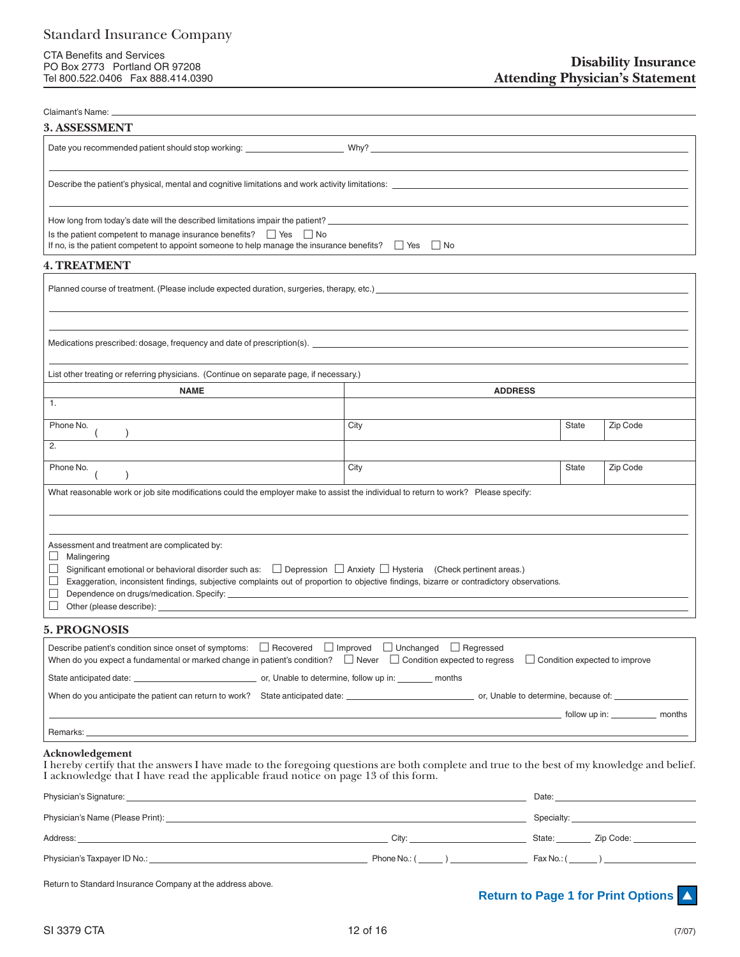CTA Benefits and Services PO Box 2773 Portland OR 97208 Tel 800.522.0406 Fax 888.414.0390

| Claimant's Name:                                                                                                                                                                                                                                                                                                                                                                                  |                |                                    |          |
|---------------------------------------------------------------------------------------------------------------------------------------------------------------------------------------------------------------------------------------------------------------------------------------------------------------------------------------------------------------------------------------------------|----------------|------------------------------------|----------|
| <b>3. ASSESSMENT</b>                                                                                                                                                                                                                                                                                                                                                                              |                |                                    |          |
|                                                                                                                                                                                                                                                                                                                                                                                                   |                |                                    |          |
|                                                                                                                                                                                                                                                                                                                                                                                                   |                |                                    |          |
|                                                                                                                                                                                                                                                                                                                                                                                                   |                |                                    |          |
| How long from today's date will the described limitations impair the patient? __________________________________                                                                                                                                                                                                                                                                                  |                |                                    |          |
| Is the patient competent to manage insurance benefits? $\Box$ Yes $\Box$ No<br>If no, is the patient competent to appoint someone to help manage the insurance benefits? $\Box$ Yes $\Box$ No                                                                                                                                                                                                     |                |                                    |          |
| <b>4. TREATMENT</b>                                                                                                                                                                                                                                                                                                                                                                               |                |                                    |          |
|                                                                                                                                                                                                                                                                                                                                                                                                   |                |                                    |          |
| Medications prescribed: dosage, frequency and date of prescription(s). <u>The manuscription of the set of the set of the set of the set of the set of the set of the set of the set of the set of the set of the set of the set </u>                                                                                                                                                              |                |                                    |          |
| List other treating or referring physicians. (Continue on separate page, if necessary.)                                                                                                                                                                                                                                                                                                           |                |                                    |          |
| <b>NAME</b>                                                                                                                                                                                                                                                                                                                                                                                       | <b>ADDRESS</b> |                                    |          |
| 1.                                                                                                                                                                                                                                                                                                                                                                                                |                |                                    |          |
| Phone No.                                                                                                                                                                                                                                                                                                                                                                                         | City           | <b>State</b>                       | Zip Code |
| 2.                                                                                                                                                                                                                                                                                                                                                                                                |                |                                    |          |
| Phone No.                                                                                                                                                                                                                                                                                                                                                                                         | City           | <b>State</b>                       | Zip Code |
| What reasonable work or job site modifications could the employer make to assist the individual to return to work? Please specify:                                                                                                                                                                                                                                                                |                |                                    |          |
|                                                                                                                                                                                                                                                                                                                                                                                                   |                |                                    |          |
| Assessment and treatment are complicated by:<br>⊔<br>Malingering<br>$\Box$<br>Significant emotional or behavioral disorder such as: $\Box$ Depression $\Box$ Anxiety $\Box$ Hysteria (Check pertinent areas.)<br>Exaggeration, inconsistent findings, subjective complaints out of proportion to objective findings, bizarre or contradictory observations.<br>$\Box$<br>$\mathbb{R}^n$<br>$\Box$ |                |                                    |          |
| <b>5. PROGNOSIS</b>                                                                                                                                                                                                                                                                                                                                                                               |                |                                    |          |
| Describe patient's condition since onset of symptoms: □ Recovered □ Improved □ Unchanged □ Regressed<br>When do you expect a fundamental or marked change in patient's condition? $\Box$ Never $\Box$ Condition expected to regress $\Box$ Condition expected to improve                                                                                                                          |                |                                    |          |
|                                                                                                                                                                                                                                                                                                                                                                                                   |                |                                    |          |
|                                                                                                                                                                                                                                                                                                                                                                                                   |                |                                    |          |
|                                                                                                                                                                                                                                                                                                                                                                                                   |                |                                    |          |
| Acknowledgement<br>I hereby certify that the answers I have made to the foregoing questions are both complete and true to the best of my knowledge and belief.<br>I acknowledge that I have read the applicable fraud notice on page 13 of this form.                                                                                                                                             |                |                                    |          |
|                                                                                                                                                                                                                                                                                                                                                                                                   |                |                                    |          |
| Physician's Name (Please Print): Letter and the contract of the contract of the contract of the contract of the contract of the contract of the contract of the contract of the contract of the contract of the contract of th                                                                                                                                                                    |                | Specialty: <u>________________</u> |          |

Physician's Taxpayer ID No.: Phone No.: ( ) Fax No.: ( )

Address: City: State: Zip Code:

Return to Standard Insurance Company at the address above.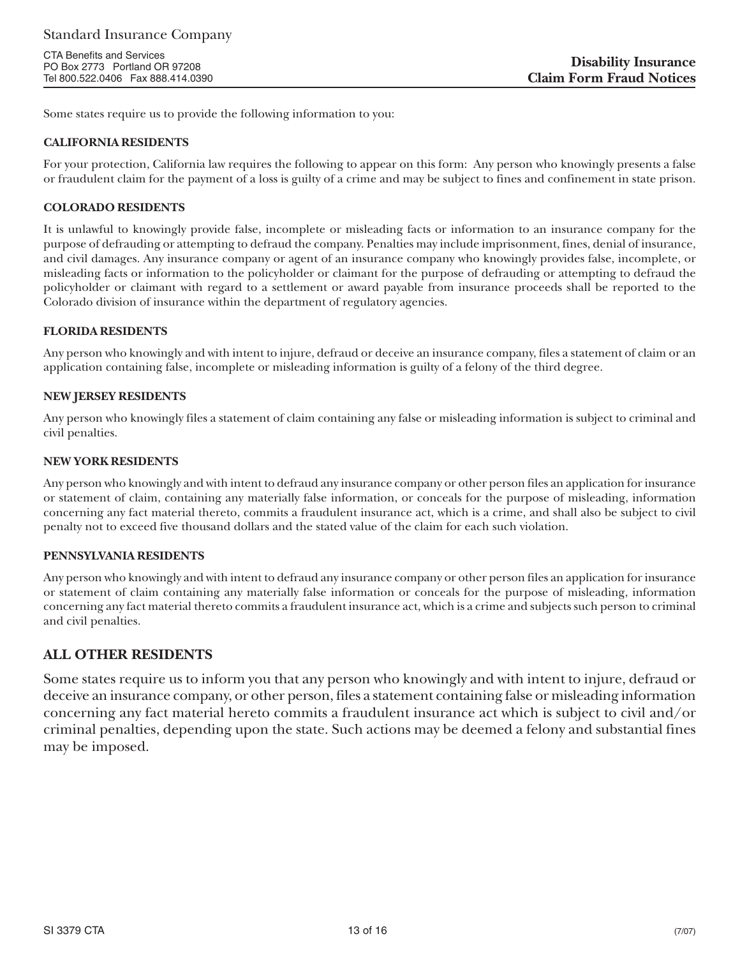Some states require us to provide the following information to you:

### **CALIFORNIA RESIDENTS**

For your protection, California law requires the following to appear on this form: Any person who knowingly presents a false or fraudulent claim for the payment of a loss is guilty of a crime and may be subject to fines and confinement in state prison.

### **COLORADO RESIDENTS**

It is unlawful to knowingly provide false, incomplete or misleading facts or information to an insurance company for the purpose of defrauding or attempting to defraud the company. Penalties may include imprisonment, fines, denial of insurance, and civil damages. Any insurance company or agent of an insurance company who knowingly provides false, incomplete, or misleading facts or information to the policyholder or claimant for the purpose of defrauding or attempting to defraud the policyholder or claimant with regard to a settlement or award payable from insurance proceeds shall be reported to the Colorado division of insurance within the department of regulatory agencies.

### **FLORIDA RESIDENTS**

Any person who knowingly and with intent to injure, defraud or deceive an insurance company, files a statement of claim or an application containing false, incomplete or misleading information is guilty of a felony of the third degree.

### **NEW JERSEY RESIDENTS**

Any person who knowingly files a statement of claim containing any false or misleading information is subject to criminal and civil penalties.

### **NEW YORK RESIDENTS**

Any person who knowingly and with intent to defraud any insurance company or other person files an application for insurance or statement of claim, containing any materially false information, or conceals for the purpose of misleading, information concerning any fact material thereto, commits a fraudulent insurance act, which is a crime, and shall also be subject to civil penalty not to exceed five thousand dollars and the stated value of the claim for each such violation.

### **PENNSYLVANIA RESIDENTS**

Any person who knowingly and with intent to defraud any insurance company or other person files an application for insurance or statement of claim containing any materially false information or conceals for the purpose of misleading, information concerning any fact material thereto commits a fraudulent insurance act, which is a crime and subjects such person to criminal and civil penalties.

### **ALL OTHER RESIDENTS**

Some states require us to inform you that any person who knowingly and with intent to injure, defraud or deceive an insurance company, or other person, files a statement containing false or misleading information concerning any fact material hereto commits a fraudulent insurance act which is subject to civil and/or criminal penalties, depending upon the state. Such actions may be deemed a felony and substantial fines may be imposed.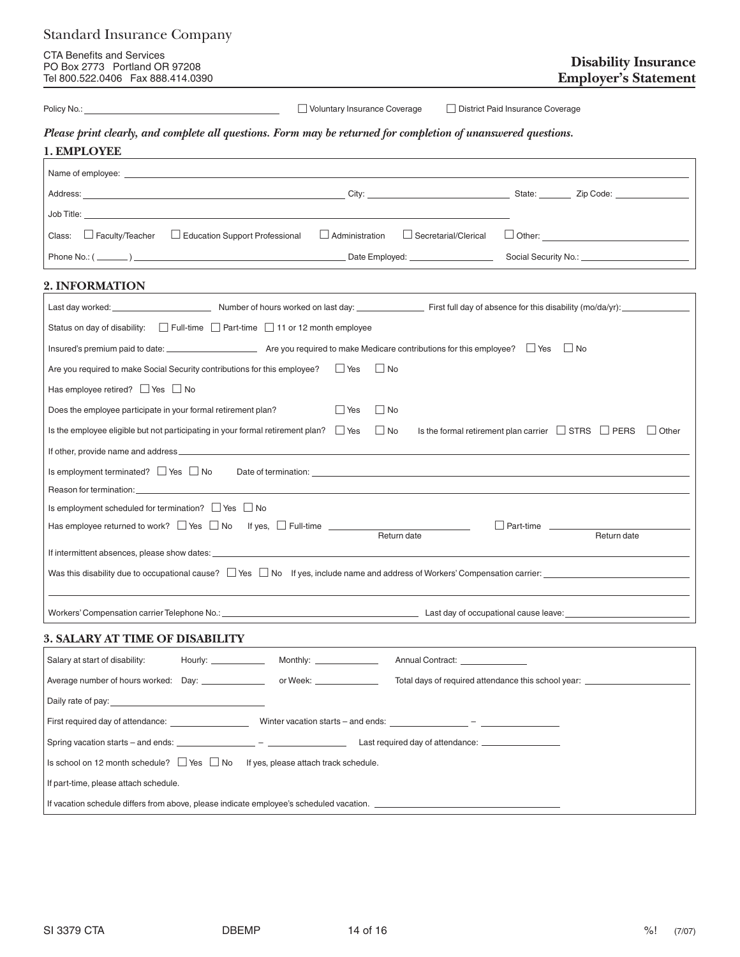| <b>Standard Insurance Company</b>                                                                                                                                                                                                   |                                                                                                                                                                                                                                |                             |
|-------------------------------------------------------------------------------------------------------------------------------------------------------------------------------------------------------------------------------------|--------------------------------------------------------------------------------------------------------------------------------------------------------------------------------------------------------------------------------|-----------------------------|
| <b>CTA Benefits and Services</b><br>PO Box 2773 Portland OR 97208<br>Tel 800.522.0406  Fax 888.414.0390                                                                                                                             | <b>Employer's Statement</b>                                                                                                                                                                                                    | <b>Disability Insurance</b> |
|                                                                                                                                                                                                                                     | Voluntary Insurance Coverage<br>District Paid Insurance Coverage                                                                                                                                                               |                             |
|                                                                                                                                                                                                                                     | Please print clearly, and complete all questions. Form may be returned for completion of unanswered questions.                                                                                                                 |                             |
| 1. EMPLOYEE                                                                                                                                                                                                                         | and the control of the control of the control of the control of the control of the control of the control of the                                                                                                               |                             |
| Name of employee: <u>experience</u> and the second contract of the second contract of the second contract of the second contract of the second contract of the second contract of the second contract of the second contract of the |                                                                                                                                                                                                                                |                             |
|                                                                                                                                                                                                                                     |                                                                                                                                                                                                                                |                             |
|                                                                                                                                                                                                                                     |                                                                                                                                                                                                                                |                             |
| Class: $\Box$ Faculty/Teacher $\Box$ Education Support Professional                                                                                                                                                                 | $\Box$ Administration<br>Secretarial/Clerical                                                                                                                                                                                  |                             |
|                                                                                                                                                                                                                                     |                                                                                                                                                                                                                                |                             |
| 2. INFORMATION                                                                                                                                                                                                                      |                                                                                                                                                                                                                                |                             |
|                                                                                                                                                                                                                                     |                                                                                                                                                                                                                                |                             |
| Status on day of disability: $\Box$ Full-time $\Box$ Part-time $\Box$ 11 or 12 month employee                                                                                                                                       |                                                                                                                                                                                                                                |                             |
|                                                                                                                                                                                                                                     |                                                                                                                                                                                                                                |                             |
| Are you required to make Social Security contributions for this employee?<br>Tes                                                                                                                                                    | $\Box$ No                                                                                                                                                                                                                      |                             |
| Has employee retired? $\Box$ Yes $\Box$ No                                                                                                                                                                                          |                                                                                                                                                                                                                                |                             |
| Does the employee participate in your formal retirement plan?                                                                                                                                                                       | $\Box$ No<br>$\Box$ Yes                                                                                                                                                                                                        |                             |
| Is the employee eligible but not participating in your formal retirement plan? $\Box$ Yes $\Box$ No                                                                                                                                 | Is the formal retirement plan carrier $\Box$ STRS $\Box$ PERS $\Box$ Other                                                                                                                                                     |                             |
|                                                                                                                                                                                                                                     |                                                                                                                                                                                                                                |                             |
| Is employment terminated? $\Box$ Yes $\Box$ No                                                                                                                                                                                      | Date of termination: example of the state of termination:                                                                                                                                                                      |                             |
|                                                                                                                                                                                                                                     | Reason for termination: University of the contract of the contract of the contract of the contract of the contract of the contract of the contract of the contract of the contract of the contract of the contract of the cont |                             |
| Is employment scheduled for termination? Ses Solo<br>Has employee returned to work? $\Box$ Yes $\Box$ No If yes, $\Box$ Full-time $\Box$                                                                                            | Part-time<br>the control of the con-                                                                                                                                                                                           |                             |
|                                                                                                                                                                                                                                     | Return date<br>Return date                                                                                                                                                                                                     |                             |
|                                                                                                                                                                                                                                     |                                                                                                                                                                                                                                |                             |
|                                                                                                                                                                                                                                     | Was this disability due to occupational cause? $\Box$ Yes $\Box$ No If yes, include name and address of Workers' Compensation carrier:                                                                                         |                             |
|                                                                                                                                                                                                                                     |                                                                                                                                                                                                                                |                             |
| <b>3. SALARY AT TIME OF DISABILITY</b>                                                                                                                                                                                              |                                                                                                                                                                                                                                |                             |
| Salary at start of disability:                                                                                                                                                                                                      | Annual Contract:                                                                                                                                                                                                               |                             |
|                                                                                                                                                                                                                                     | Total days of required attendance this school year: ____________________________                                                                                                                                               |                             |
|                                                                                                                                                                                                                                     |                                                                                                                                                                                                                                |                             |
|                                                                                                                                                                                                                                     |                                                                                                                                                                                                                                |                             |
|                                                                                                                                                                                                                                     |                                                                                                                                                                                                                                |                             |
| Is school on 12 month schedule? $\Box$ Yes $\Box$ No If yes, please attach track schedule.                                                                                                                                          |                                                                                                                                                                                                                                |                             |
| If part-time, please attach schedule.                                                                                                                                                                                               |                                                                                                                                                                                                                                |                             |
| If vacation schedule differs from above, please indicate employee's scheduled vacation.                                                                                                                                             |                                                                                                                                                                                                                                |                             |
|                                                                                                                                                                                                                                     |                                                                                                                                                                                                                                |                             |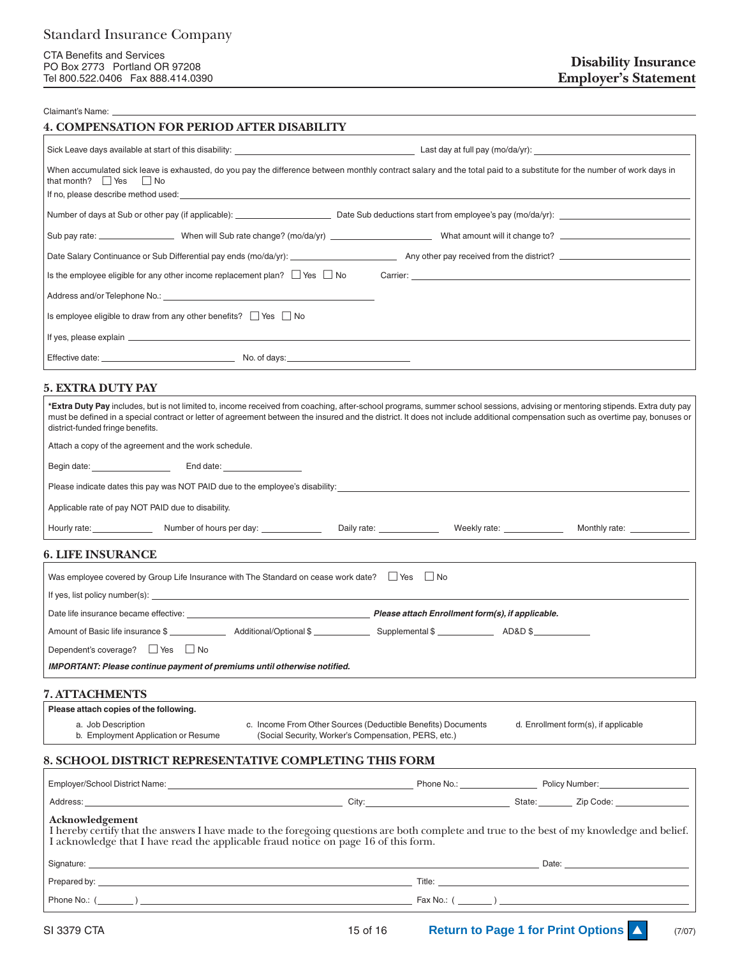#### Claimant's Name:

#### **4. COMPENSATION FOR PERIOD AFTER DISABILITY**

| When accumulated sick leave is exhausted, do you pay the difference between monthly contract salary and the total paid to a substitute for the number of work days in<br>that month? $\Box$ Yes $\Box$ No |  |
|-----------------------------------------------------------------------------------------------------------------------------------------------------------------------------------------------------------|--|
| Number of days at Sub or other pay (if applicable): <u>entitled and the Sub deductions</u> start from employee's pay (mo/da/yr):                                                                          |  |
|                                                                                                                                                                                                           |  |
|                                                                                                                                                                                                           |  |
| Is the employee eligible for any other income replacement plan? $\Box$ Yes $\Box$ No Carrier:                                                                                                             |  |
|                                                                                                                                                                                                           |  |
| Is employee eligible to draw from any other benefits? $\Box$ Yes $\Box$ No                                                                                                                                |  |
|                                                                                                                                                                                                           |  |
|                                                                                                                                                                                                           |  |

### **5. EXTRA DUTY PAY**

| *Extra Duty Pay includes, but is not limited to, income received from coaching, after-school programs, summer school sessions, advising or mentoring stipends. Extra duty pay<br>must be defined in a special contract or letter of agreement between the insured and the district. It does not include additional compensation such as overtime pay, bonuses or<br>district-funded fringe benefits. |  |                                                                                                                      |                                   |                                                                                                                 |  |
|------------------------------------------------------------------------------------------------------------------------------------------------------------------------------------------------------------------------------------------------------------------------------------------------------------------------------------------------------------------------------------------------------|--|----------------------------------------------------------------------------------------------------------------------|-----------------------------------|-----------------------------------------------------------------------------------------------------------------|--|
| Attach a copy of the agreement and the work schedule.                                                                                                                                                                                                                                                                                                                                                |  |                                                                                                                      |                                   |                                                                                                                 |  |
|                                                                                                                                                                                                                                                                                                                                                                                                      |  |                                                                                                                      |                                   |                                                                                                                 |  |
| Please indicate dates this pay was NOT PAID due to the employee's disability:                                                                                                                                                                                                                                                                                                                        |  |                                                                                                                      |                                   |                                                                                                                 |  |
| Applicable rate of pay NOT PAID due to disability.                                                                                                                                                                                                                                                                                                                                                   |  |                                                                                                                      |                                   |                                                                                                                 |  |
| Hourly rate: Number of hours per day:                                                                                                                                                                                                                                                                                                                                                                |  | Daily rate: ______________                                                                                           | Weekly rate: <u>_____________</u> | Monthly rate: _____________                                                                                     |  |
| <b>6. LIFE INSURANCE</b>                                                                                                                                                                                                                                                                                                                                                                             |  |                                                                                                                      |                                   |                                                                                                                 |  |
| Was employee covered by Group Life Insurance with The Standard on cease work date? $\Box$ Yes $\Box$ No                                                                                                                                                                                                                                                                                              |  |                                                                                                                      |                                   |                                                                                                                 |  |
|                                                                                                                                                                                                                                                                                                                                                                                                      |  |                                                                                                                      |                                   |                                                                                                                 |  |
| Date life insurance became effective: <u>example and the set of the set of the product of the product</u> product product product product product product product product product product product product product product product p                                                                                                                                                                  |  |                                                                                                                      |                                   |                                                                                                                 |  |
|                                                                                                                                                                                                                                                                                                                                                                                                      |  |                                                                                                                      |                                   |                                                                                                                 |  |
| Dependent's coverage? Figures No                                                                                                                                                                                                                                                                                                                                                                     |  |                                                                                                                      |                                   |                                                                                                                 |  |
| IMPORTANT: Please continue payment of premiums until otherwise notified.                                                                                                                                                                                                                                                                                                                             |  |                                                                                                                      |                                   |                                                                                                                 |  |
| <b>7. ATTACHMENTS</b>                                                                                                                                                                                                                                                                                                                                                                                |  |                                                                                                                      |                                   |                                                                                                                 |  |
| Please attach copies of the following.                                                                                                                                                                                                                                                                                                                                                               |  |                                                                                                                      |                                   |                                                                                                                 |  |
| a. Job Description<br>b. Employment Application or Resume                                                                                                                                                                                                                                                                                                                                            |  | c. Income From Other Sources (Deductible Benefits) Documents<br>(Social Security, Worker's Compensation, PERS, etc.) |                                   | d. Enrollment form(s), if applicable                                                                            |  |
| <b>8. SCHOOL DISTRICT REPRESENTATIVE COMPLETING THIS FORM</b>                                                                                                                                                                                                                                                                                                                                        |  |                                                                                                                      |                                   |                                                                                                                 |  |
|                                                                                                                                                                                                                                                                                                                                                                                                      |  |                                                                                                                      |                                   |                                                                                                                 |  |
|                                                                                                                                                                                                                                                                                                                                                                                                      |  |                                                                                                                      |                                   |                                                                                                                 |  |
| Acknowledgement                                                                                                                                                                                                                                                                                                                                                                                      |  |                                                                                                                      |                                   | and the model of the state of the state of the state of the state of the state of the state of the state of the |  |

I hereby certify that the answers I have made to the foregoing questions are both complete and true to the best of my knowledge and belief. I acknowledge that I have read the applicable fraud notice on page 16 of this form.

| Signature:   | Date:    |
|--------------|----------|
| Prepared by: | Title:   |
| Phone No.:   | Fax No.: |